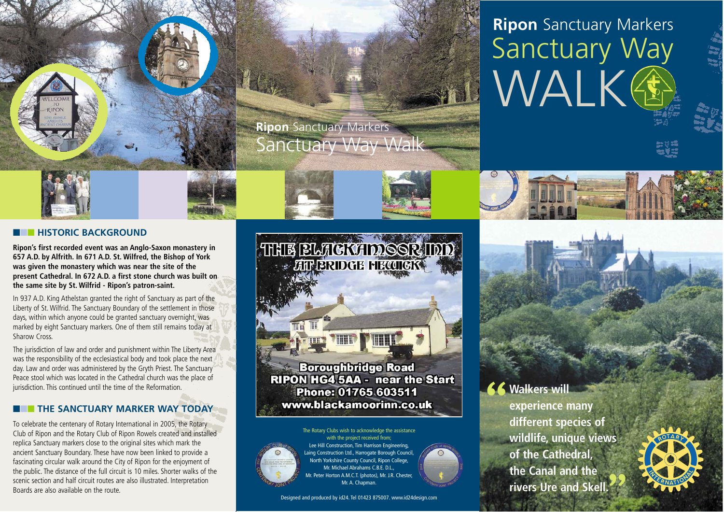

# **Ripon** Sanctuary Markers Sanctuary Way WALK

## ■■■ **HISTORIC BACKGROUND**

**Ripon's first recorded event was an Anglo-Saxon monastery in 657 A.D. by Alfrith. In 671 A.D. St. Wilfred, the Bishop of York was given the monastery which was near the site of the present Cathedral. In 672 A.D. a first stone church was built on the same site by St. Wilfrid - Ripon's patron-saint.**

In 937 A.D. King Athelstan granted the right of Sanctuary as part of the Liberty of St. Wilfrid. The Sanctuary Boundary of the settlement in those days, within which anyone could be granted sanctuary overnight, was marked by eight Sanctuary markers. One of them still remains today at Sharow Cross.

The jurisdiction of law and order and punishment within The Liberty Area was the responsibility of the ecclesiastical body and took place the next day. Law and order was administered by the Gryth Priest. The Sanctuary Peace stool which was located in the Cathedral church was the place of jurisdiction. This continued until the time of the Reformation.

# ■■■ **THE SANCTUARY MARKER WAY TODAY**

To celebrate the centenary of Rotary International in 2005, the Rotary Club of Ripon and the Rotary Club of Ripon Rowels created and installed replica Sanctuary markers close to the original sites which mark the ancient Sanctuary Boundary. These have now been linked to provide a fascinating circular walk around the City of Ripon for the enjoyment of the public. The distance of the full circuit is 10 miles. Shorter walks of the scenic section and half circuit routes are also illustrated. Interpretation Boards are also available on the route.

**THE BLACKADDOOR IDD** THE Punn

**Boroughbridge Road** RIPON HG4 5AA - near the Start Phone: 01765 603511 www.blackamoorinn.co.uk



with the project received from; Lee Hill Construction, Tim Harrison Engineering, Laing Construction Ltd., Harrogate Borough Council, North Yorkshire County Council, Ripon College, Mr. Michael Abrahams C.B.E. D.L., Mr. Peter Horton A.M.C.T. (photos), Mr. J.R. Chester, Mr. A. Chanman.

Designed and produced by id24. Tel 01423 875007. www.id24design.com

# **66 Walkers will**

**experience many different species of wildlife, unique views of the Cathedral, the Canal and the rivers Ure and Skell.**"